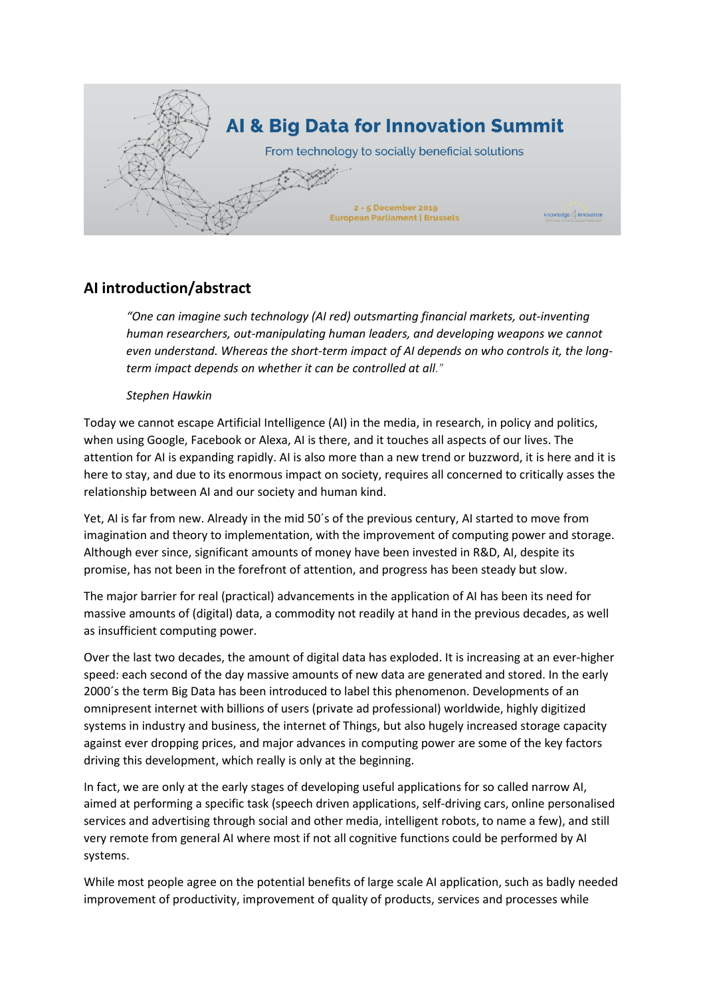

## **AI introduction/abstract**

*"One can imagine such technology (AI red) outsmarting financial markets, out-inventing human researchers, out-manipulating human leaders, and developing weapons we cannot even understand. Whereas the short-term impact of AI depends on who controls it, the longterm impact depends on [whether it can be controlled at all](https://www.independent.co.uk/news/science/stephen-hawking-transcendence-looks-at-the-implications-of-artificial-intelligence-but-are-we-taking-9313474.html)."*

## *Stephen Hawkin*

Today we cannot escape Artificial Intelligence (AI) in the media, in research, in policy and politics, when using Google, Facebook or Alexa, AI is there, and it touches all aspects of our lives. The attention for AI is expanding rapidly. AI is also more than a new trend or buzzword, it is here and it is here to stay, and due to its enormous impact on society, requires all concerned to critically asses the relationship between AI and our society and human kind.

Yet, AI is far from new. Already in the mid 50´s of the previous century, AI started to move from imagination and theory to implementation, with the improvement of computing power and storage. Although ever since, significant amounts of money have been invested in R&D, AI, despite its promise, has not been in the forefront of attention, and progress has been steady but slow.

The major barrier for real (practical) advancements in the application of AI has been its need for massive amounts of (digital) data, a commodity not readily at hand in the previous decades, as well as insufficient computing power.

Over the last two decades, the amount of digital data has exploded. It is increasing at an ever-higher speed: each second of the day massive amounts of new data are generated and stored. In the early 2000´s the term Big Data has been introduced to label this phenomenon. Developments of an omnipresent internet with billions of users (private ad professional) worldwide, highly digitized systems in industry and business, the internet of Things, but also hugely increased storage capacity against ever dropping prices, and major advances in computing power are some of the key factors driving this development, which really is only at the beginning.

In fact, we are only at the early stages of developing useful applications for so called narrow AI, aimed at performing a specific task (speech driven applications, self-driving cars, online personalised services and advertising through social and other media, intelligent robots, to name a few), and still very remote from general AI where most if not all cognitive functions could be performed by AI systems.

While most people agree on the potential benefits of large scale AI application, such as badly needed improvement of productivity, improvement of quality of products, services and processes while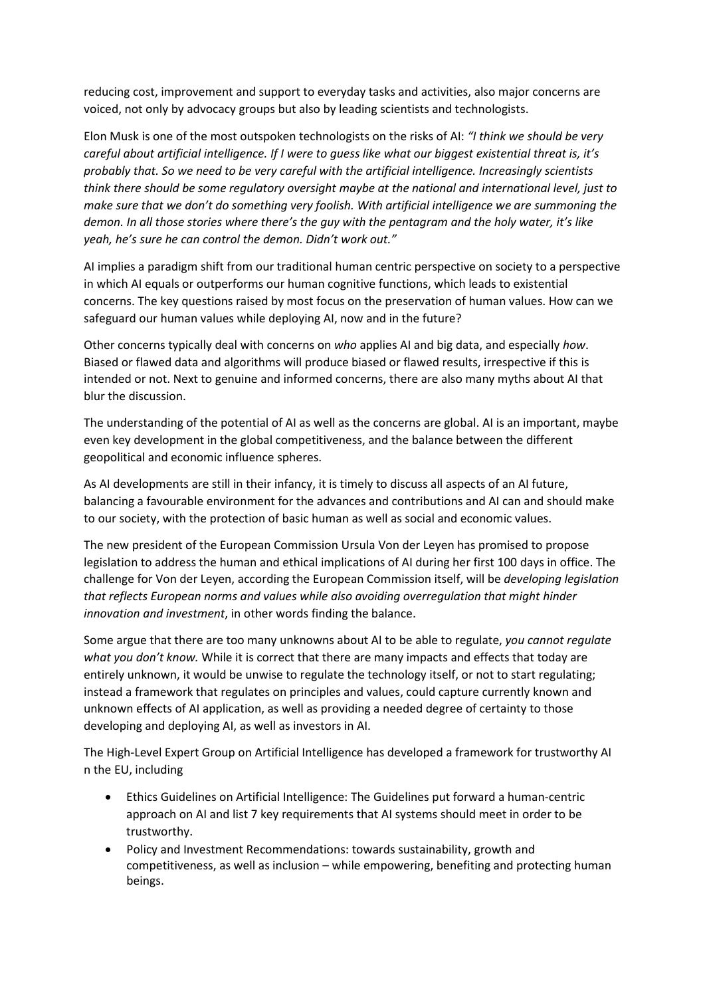reducing cost, improvement and support to everyday tasks and activities, also major concerns are voiced, not only by advocacy groups but also by leading scientists and technologists.

Elon Musk is one of the most outspoken technologists on the risks of AI: *"I think we should be very careful about artificial intelligence. If I were to guess like what our biggest existential threat is, it's probably that. So we need to be very careful with the artificial intelligence. Increasingly scientists think there should be some regulatory oversight maybe at the national and international level, just to make sure that we don't do something very foolish. [With artificial intelligence we are summoning the](https://www.washingtonpost.com/news/innovations/wp/2014/10/24/elon-musk-with-artificial-intelligence-we-are-summoning-the-demon/)  [demon.](https://www.washingtonpost.com/news/innovations/wp/2014/10/24/elon-musk-with-artificial-intelligence-we-are-summoning-the-demon/) In all those stories where there's the guy with the pentagram and the holy water, it's like yeah, he's sure he can control the demon. Didn't work out."*

AI implies a paradigm shift from our traditional human centric perspective on society to a perspective in which AI equals or outperforms our human cognitive functions, which leads to existential concerns. The key questions raised by most focus on the preservation of human values. How can we safeguard our human values while deploying AI, now and in the future?

Other concerns typically deal with concerns on *who* applies AI and big data, and especially *how*. Biased or flawed data and algorithms will produce biased or flawed results, irrespective if this is intended or not. Next to genuine and informed concerns, there are also many myths about AI that blur the discussion.

The understanding of the potential of AI as well as the concerns are global. AI is an important, maybe even key development in the global competitiveness, and the balance between the different geopolitical and economic influence spheres.

As AI developments are still in their infancy, it is timely to discuss all aspects of an AI future, balancing a favourable environment for the advances and contributions and AI can and should make to our society, with the protection of basic human as well as social and economic values.

The new president of the European Commission Ursula Von der Leyen has promised to propose legislation to address the human and ethical implications of AI during her first 100 days in office. The challenge for Von der Leyen, according the European Commission itself, will be *developing legislation that reflects European norms and values while also avoiding overregulation that might hinder innovation and investment*, in other words finding the balance.

Some argue that there are too many unknowns about AI to be able to regulate, *you cannot regulate what you don't know.* While it is correct that there are many impacts and effects that today are entirely unknown, it would be unwise to regulate the technology itself, or not to start regulating; instead a framework that regulates on principles and values, could capture currently known and unknown effects of AI application, as well as providing a needed degree of certainty to those developing and deploying AI, as well as investors in AI.

The High-Level Expert Group on Artificial Intelligence has developed a framework for trustworthy AI n the EU, including

- E[thics Guidelines on Artificial Intelligence:](https://ec.europa.eu/futurium/en/ai-alliance-consultation/guidelines#Top) The Guidelines put forward a [human-centric](https://ec.europa.eu/digital-single-market/en/news/communication-building-trust-human-centric-artificial-intelligence)  [approach on AI](https://ec.europa.eu/digital-single-market/en/news/communication-building-trust-human-centric-artificial-intelligence) and list 7 key requirements that AI systems should meet in order to be trustworthy.
- [Policy and Investment Recommendations:](https://ec.europa.eu/digital-single-market/en/news/policy-and-investment-recommendations-trustworthy-artificial-intelligence) towards sustainability, growth and competitiveness, as well as inclusion – while empowering, benefiting and protecting human beings.